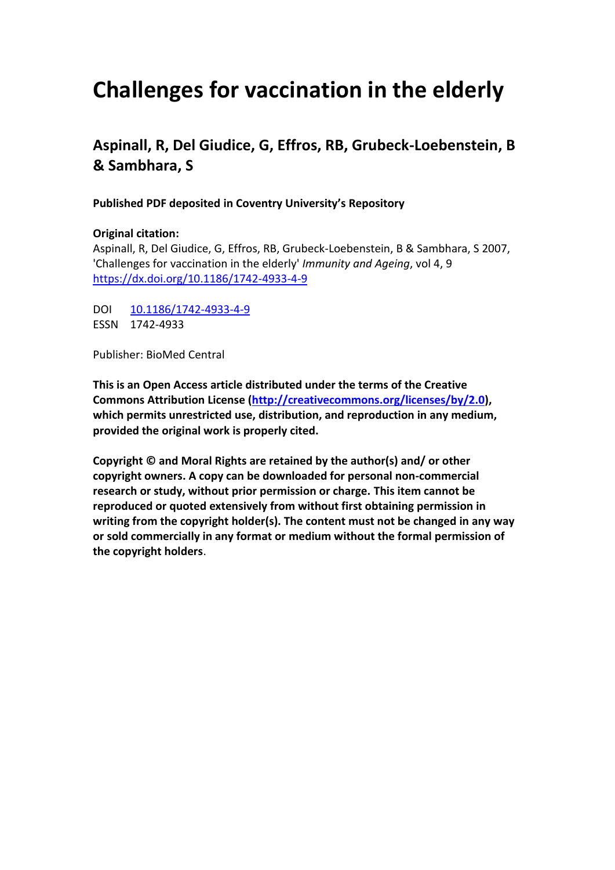# **Challenges for vaccination in the elderly**

## **Aspinall, R, Del Giudice, G, Effros, RB, Grubeck-Loebenstein, B & Sambhara, S**

**Published PDF deposited in Coventry University's Repository**

### **Original citation:**

Aspinall, R, Del Giudice, G, Effros, RB, Grubeck-Loebenstein, B & Sambhara, S 2007, 'Challenges for vaccination in the elderly' *Immunity and Ageing*, vol 4, 9 [https://dx.doi.org/10.1186/1742-4933-4-9](https://dx.doi.org/%5bDOI%5d)

DOI [10.1186/1742-4933-4-9](http://dx.doi.org/10.1186/1742-4933-4-9) ESSN 1742-4933

Publisher: BioMed Central

**This is an Open Access article distributed under the terms of the Creative Commons Attribution License [\(http://creativecommons.org/licenses/by/2.0\)](http://creativecommons.org/licenses/by/2.0), which permits unrestricted use, distribution, and reproduction in any medium, provided the original work is properly cited.**

**Copyright © and Moral Rights are retained by the author(s) and/ or other copyright owners. A copy can be downloaded for personal non-commercial research or study, without prior permission or charge. This item cannot be reproduced or quoted extensively from without first obtaining permission in writing from the copyright holder(s). The content must not be changed in any way or sold commercially in any format or medium without the formal permission of the copyright holders**.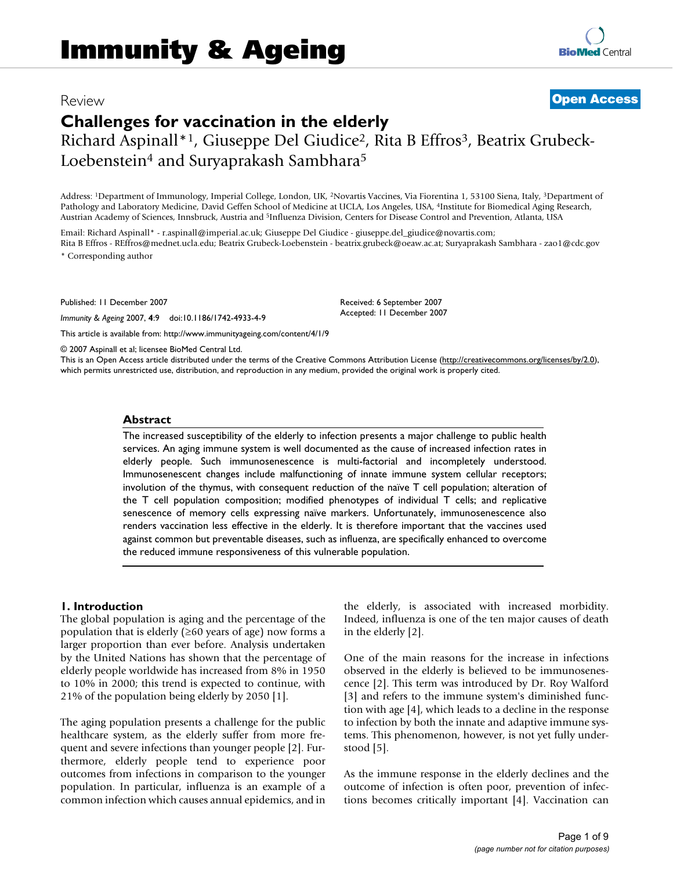### Review **[Open Access](http://www.biomedcentral.com/info/about/charter/)**

### **Challenges for vaccination in the elderly** Richard Aspinall\*<sup>1</sup>, Giuseppe Del Giudice<sup>2</sup>, Rita B Effros<sup>3</sup>, Beatrix Grubeck-Loebenstein<sup>4</sup> and Suryaprakash Sambhara<sup>5</sup>

Address: 1Department of Immunology, Imperial College, London, UK, 2Novartis Vaccines, Via Fiorentina 1, 53100 Siena, Italy, 3Department of Pathology and Laboratory Medicine, David Geffen School of Medicine at UCLA, Los Angeles, USA, 4Institute for Biomedical Aging Research, Austrian Academy of Sciences, Innsbruck, Austria and 5Influenza Division, Centers for Disease Control and Prevention, Atlanta, USA

Email: Richard Aspinall\* - r.aspinall@imperial.ac.uk; Giuseppe Del Giudice - giuseppe.del\_giudice@novartis.com; Rita B Effros - REffros@mednet.ucla.edu; Beatrix Grubeck-Loebenstein - beatrix.grubeck@oeaw.ac.at; Suryaprakash Sambhara - zao1@cdc.gov \* Corresponding author

> Received: 6 September 2007 Accepted: 11 December 2007

Published: 11 December 2007

*Immunity & Ageing* 2007, **4**:9 doi:10.1186/1742-4933-4-9

[This article is available from: http://www.immunityageing.com/content/4/1/9](http://www.immunityageing.com/content/4/1/9)

© 2007 Aspinall et al; licensee BioMed Central Ltd.

This is an Open Access article distributed under the terms of the Creative Commons Attribution License [\(http://creativecommons.org/licenses/by/2.0\)](http://creativecommons.org/licenses/by/2.0), which permits unrestricted use, distribution, and reproduction in any medium, provided the original work is properly cited.

#### **Abstract**

The increased susceptibility of the elderly to infection presents a major challenge to public health services. An aging immune system is well documented as the cause of increased infection rates in elderly people. Such immunosenescence is multi-factorial and incompletely understood. Immunosenescent changes include malfunctioning of innate immune system cellular receptors; involution of the thymus, with consequent reduction of the naïve T cell population; alteration of the T cell population composition; modified phenotypes of individual T cells; and replicative senescence of memory cells expressing naïve markers. Unfortunately, immunosenescence also renders vaccination less effective in the elderly. It is therefore important that the vaccines used against common but preventable diseases, such as influenza, are specifically enhanced to overcome the reduced immune responsiveness of this vulnerable population.

#### **1. Introduction**

The global population is aging and the percentage of the population that is elderly ( $\geq 60$  years of age) now forms a larger proportion than ever before. Analysis undertaken by the United Nations has shown that the percentage of elderly people worldwide has increased from 8% in 1950 to 10% in 2000; this trend is expected to continue, with 21% of the population being elderly by 2050 [1].

The aging population presents a challenge for the public healthcare system, as the elderly suffer from more frequent and severe infections than younger people [2]. Furthermore, elderly people tend to experience poor outcomes from infections in comparison to the younger population. In particular, influenza is an example of a common infection which causes annual epidemics, and in the elderly, is associated with increased morbidity. Indeed, influenza is one of the ten major causes of death in the elderly [2].

One of the main reasons for the increase in infections observed in the elderly is believed to be immunosenescence [2]. This term was introduced by Dr. Roy Walford [3] and refers to the immune system's diminished function with age [4], which leads to a decline in the response to infection by both the innate and adaptive immune systems. This phenomenon, however, is not yet fully understood [5].

As the immune response in the elderly declines and the outcome of infection is often poor, prevention of infections becomes critically important [4]. Vaccination can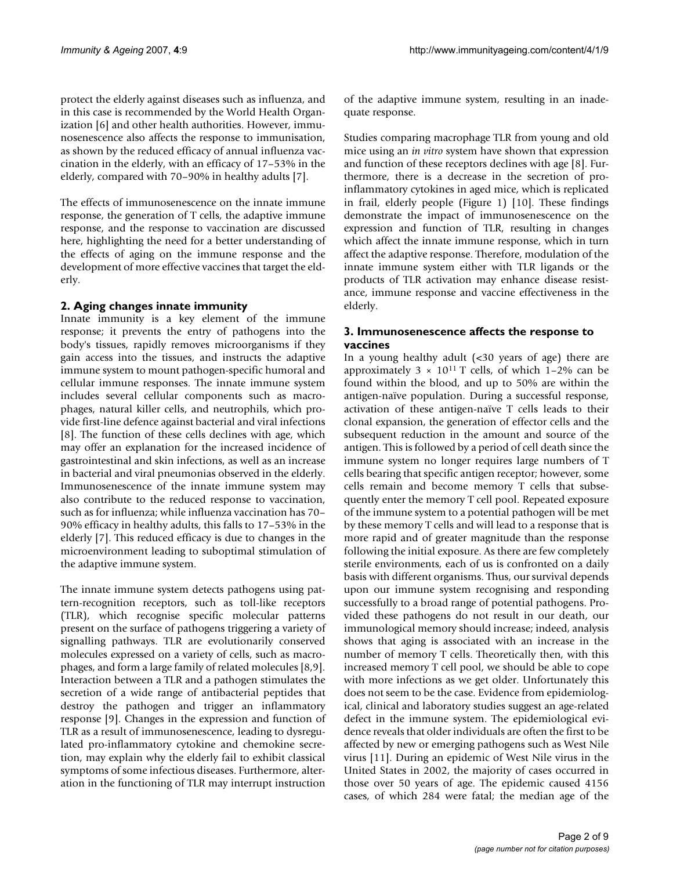protect the elderly against diseases such as influenza, and in this case is recommended by the World Health Organization [6] and other health authorities. However, immunosenescence also affects the response to immunisation, as shown by the reduced efficacy of annual influenza vaccination in the elderly, with an efficacy of 17–53% in the elderly, compared with 70–90% in healthy adults [7].

The effects of immunosenescence on the innate immune response, the generation of T cells, the adaptive immune response, and the response to vaccination are discussed here, highlighting the need for a better understanding of the effects of aging on the immune response and the development of more effective vaccines that target the elderly.

#### **2. Aging changes innate immunity**

Innate immunity is a key element of the immune response; it prevents the entry of pathogens into the body's tissues, rapidly removes microorganisms if they gain access into the tissues, and instructs the adaptive immune system to mount pathogen-specific humoral and cellular immune responses. The innate immune system includes several cellular components such as macrophages, natural killer cells, and neutrophils, which provide first-line defence against bacterial and viral infections [8]. The function of these cells declines with age, which may offer an explanation for the increased incidence of gastrointestinal and skin infections, as well as an increase in bacterial and viral pneumonias observed in the elderly. Immunosenescence of the innate immune system may also contribute to the reduced response to vaccination, such as for influenza; while influenza vaccination has 70– 90% efficacy in healthy adults, this falls to 17–53% in the elderly [7]. This reduced efficacy is due to changes in the microenvironment leading to suboptimal stimulation of the adaptive immune system.

The innate immune system detects pathogens using pattern-recognition receptors, such as toll-like receptors (TLR), which recognise specific molecular patterns present on the surface of pathogens triggering a variety of signalling pathways. TLR are evolutionarily conserved molecules expressed on a variety of cells, such as macrophages, and form a large family of related molecules [8,9]. Interaction between a TLR and a pathogen stimulates the secretion of a wide range of antibacterial peptides that destroy the pathogen and trigger an inflammatory response [9]. Changes in the expression and function of TLR as a result of immunosenescence, leading to dysregulated pro-inflammatory cytokine and chemokine secretion, may explain why the elderly fail to exhibit classical symptoms of some infectious diseases. Furthermore, alteration in the functioning of TLR may interrupt instruction of the adaptive immune system, resulting in an inadequate response.

Studies comparing macrophage TLR from young and old mice using an *in vitro* system have shown that expression and function of these receptors declines with age [8]. Furthermore, there is a decrease in the secretion of proinflammatory cytokines in aged mice, which is replicated in frail, elderly people (Figure 1) [10]. These findings demonstrate the impact of immunosenescence on the expression and function of TLR, resulting in changes which affect the innate immune response, which in turn affect the adaptive response. Therefore, modulation of the innate immune system either with TLR ligands or the products of TLR activation may enhance disease resistance, immune response and vaccine effectiveness in the elderly.

#### **3. Immunosenescence affects the response to vaccines**

In a young healthy adult (<30 years of age) there are approximately  $3 \times 10^{11}$  T cells, of which 1–2% can be found within the blood, and up to 50% are within the antigen-naïve population. During a successful response, activation of these antigen-naïve T cells leads to their clonal expansion, the generation of effector cells and the subsequent reduction in the amount and source of the antigen. This is followed by a period of cell death since the immune system no longer requires large numbers of T cells bearing that specific antigen receptor; however, some cells remain and become memory T cells that subsequently enter the memory T cell pool. Repeated exposure of the immune system to a potential pathogen will be met by these memory T cells and will lead to a response that is more rapid and of greater magnitude than the response following the initial exposure. As there are few completely sterile environments, each of us is confronted on a daily basis with different organisms. Thus, our survival depends upon our immune system recognising and responding successfully to a broad range of potential pathogens. Provided these pathogens do not result in our death, our immunological memory should increase; indeed, analysis shows that aging is associated with an increase in the number of memory T cells. Theoretically then, with this increased memory T cell pool, we should be able to cope with more infections as we get older. Unfortunately this does not seem to be the case. Evidence from epidemiological, clinical and laboratory studies suggest an age-related defect in the immune system. The epidemiological evidence reveals that older individuals are often the first to be affected by new or emerging pathogens such as West Nile virus [11]. During an epidemic of West Nile virus in the United States in 2002, the majority of cases occurred in those over 50 years of age. The epidemic caused 4156 cases, of which 284 were fatal; the median age of the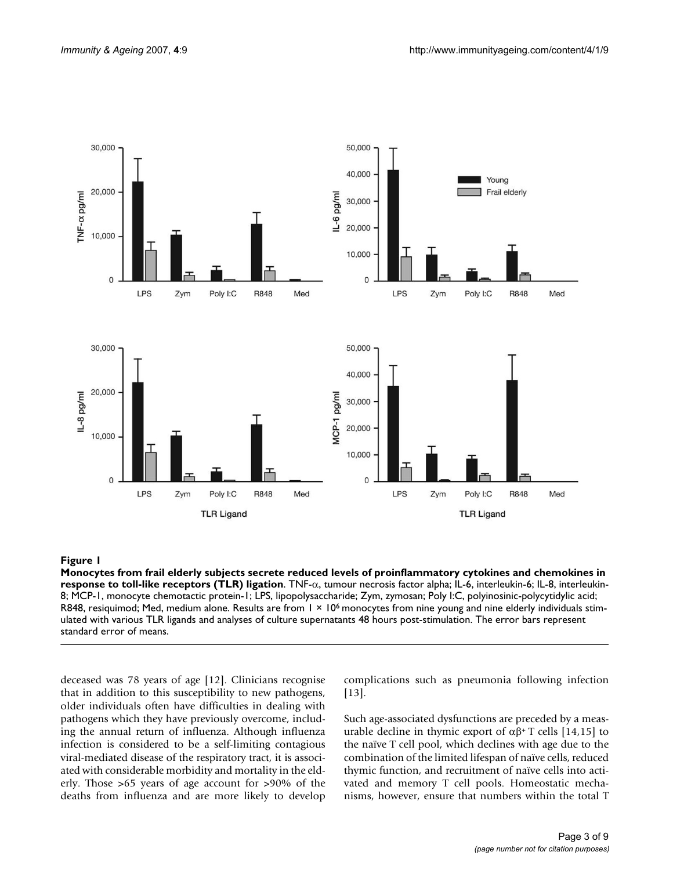

#### Monocytes from frail elderly subj like receptors (TLR) ligation **Figure 1** ects secrete reduced levels of proinflammatory cytokines and chemokines in response to toll-

**Monocytes from frail elderly subjects secrete reduced levels of proinflammatory cytokines and chemokines in response to toll-like receptors (TLR) ligation**. TNF-α, tumour necrosis factor alpha; IL-6, interleukin-6; IL-8, interleukin-8; MCP-1, monocyte chemotactic protein-1; LPS, lipopolysaccharide; Zym, zymosan; Poly I:C, polyinosinic-polycytidylic acid; R848, resiquimod; Med, medium alone. Results are from  $1 \times 10^6$  monocytes from nine young and nine elderly individuals stimulated with various TLR ligands and analyses of culture supernatants 48 hours post-stimulation. The error bars represent standard error of means.

deceased was 78 years of age [12]. Clinicians recognise that in addition to this susceptibility to new pathogens, older individuals often have difficulties in dealing with pathogens which they have previously overcome, including the annual return of influenza. Although influenza infection is considered to be a self-limiting contagious viral-mediated disease of the respiratory tract, it is associated with considerable morbidity and mortality in the elderly. Those >65 years of age account for >90% of the deaths from influenza and are more likely to develop

complications such as pneumonia following infection [13].

Such age-associated dysfunctions are preceded by a measurable decline in thymic export of  $\alpha\beta$ <sup>+</sup> T cells [14,15] to the naïve T cell pool, which declines with age due to the combination of the limited lifespan of naïve cells, reduced thymic function, and recruitment of naïve cells into activated and memory T cell pools. Homeostatic mechanisms, however, ensure that numbers within the total T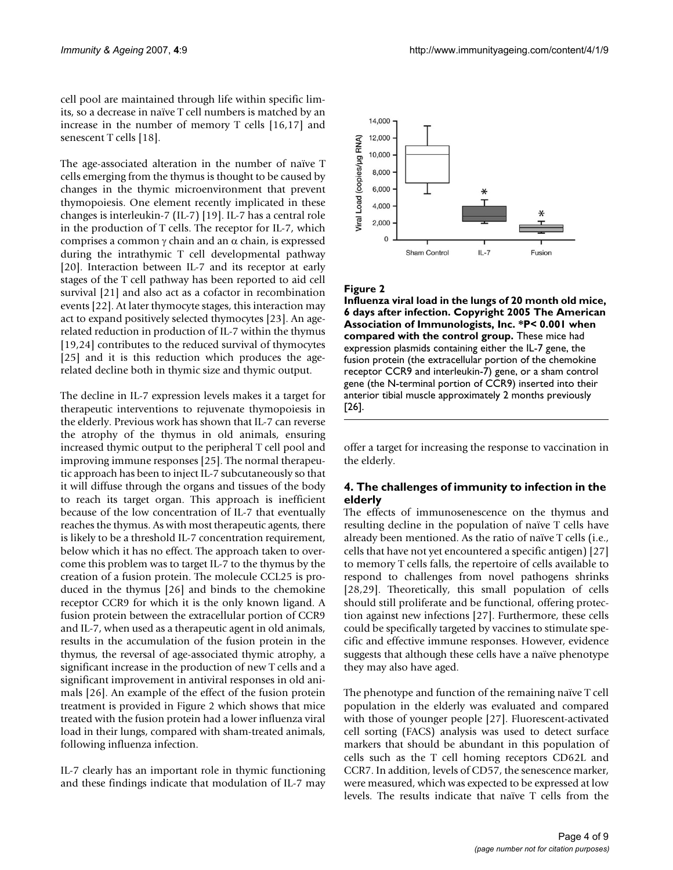cell pool are maintained through life within specific limits, so a decrease in naïve T cell numbers is matched by an increase in the number of memory T cells [16,17] and senescent T cells [18].

The age-associated alteration in the number of naïve T cells emerging from the thymus is thought to be caused by changes in the thymic microenvironment that prevent thymopoiesis. One element recently implicated in these changes is interleukin-7 (IL-7) [19]. IL-7 has a central role in the production of T cells. The receptor for IL-7, which comprises a common γ chain and an α chain, is expressed during the intrathymic T cell developmental pathway [20]. Interaction between IL-7 and its receptor at early stages of the T cell pathway has been reported to aid cell survival [21] and also act as a cofactor in recombination events [22]. At later thymocyte stages, this interaction may act to expand positively selected thymocytes [23]. An agerelated reduction in production of IL-7 within the thymus [19,24] contributes to the reduced survival of thymocytes [25] and it is this reduction which produces the agerelated decline both in thymic size and thymic output.

The decline in IL-7 expression levels makes it a target for therapeutic interventions to rejuvenate thymopoiesis in the elderly. Previous work has shown that IL-7 can reverse the atrophy of the thymus in old animals, ensuring increased thymic output to the peripheral T cell pool and improving immune responses [25]. The normal therapeutic approach has been to inject IL-7 subcutaneously so that it will diffuse through the organs and tissues of the body to reach its target organ. This approach is inefficient because of the low concentration of IL-7 that eventually reaches the thymus. As with most therapeutic agents, there is likely to be a threshold IL-7 concentration requirement, below which it has no effect. The approach taken to overcome this problem was to target IL-7 to the thymus by the creation of a fusion protein. The molecule CCL25 is produced in the thymus [26] and binds to the chemokine receptor CCR9 for which it is the only known ligand. A fusion protein between the extracellular portion of CCR9 and IL-7, when used as a therapeutic agent in old animals, results in the accumulation of the fusion protein in the thymus, the reversal of age-associated thymic atrophy, a significant increase in the production of new T cells and a significant improvement in antiviral responses in old animals [26]. An example of the effect of the fusion protein treatment is provided in Figure 2 which shows that mice treated with the fusion protein had a lower influenza viral load in their lungs, compared with sham-treated animals, following influenza infection.

IL-7 clearly has an important role in thymic functioning and these findings indicate that modulation of IL-7 may



#### Figure 2

**Influenza viral load in the lungs of 20 month old mice, 6 days after infection. Copyright 2005 The American Association of Immunologists, Inc. \*P< 0.001 when compared with the control group.** These mice had expression plasmids containing either the IL-7 gene, the fusion protein (the extracellular portion of the chemokine receptor CCR9 and interleukin-7) gene, or a sham control gene (the N-terminal portion of CCR9) inserted into their anterior tibial muscle approximately 2 months previously [26].

offer a target for increasing the response to vaccination in the elderly.

#### **4. The challenges of immunity to infection in the elderly**

The effects of immunosenescence on the thymus and resulting decline in the population of naïve T cells have already been mentioned. As the ratio of naïve T cells (i.e., cells that have not yet encountered a specific antigen) [27] to memory T cells falls, the repertoire of cells available to respond to challenges from novel pathogens shrinks [28,29]. Theoretically, this small population of cells should still proliferate and be functional, offering protection against new infections [27]. Furthermore, these cells could be specifically targeted by vaccines to stimulate specific and effective immune responses. However, evidence suggests that although these cells have a naïve phenotype they may also have aged.

The phenotype and function of the remaining naïve T cell population in the elderly was evaluated and compared with those of younger people [27]. Fluorescent-activated cell sorting (FACS) analysis was used to detect surface markers that should be abundant in this population of cells such as the T cell homing receptors CD62L and CCR7. In addition, levels of CD57, the senescence marker, were measured, which was expected to be expressed at low levels. The results indicate that naïve T cells from the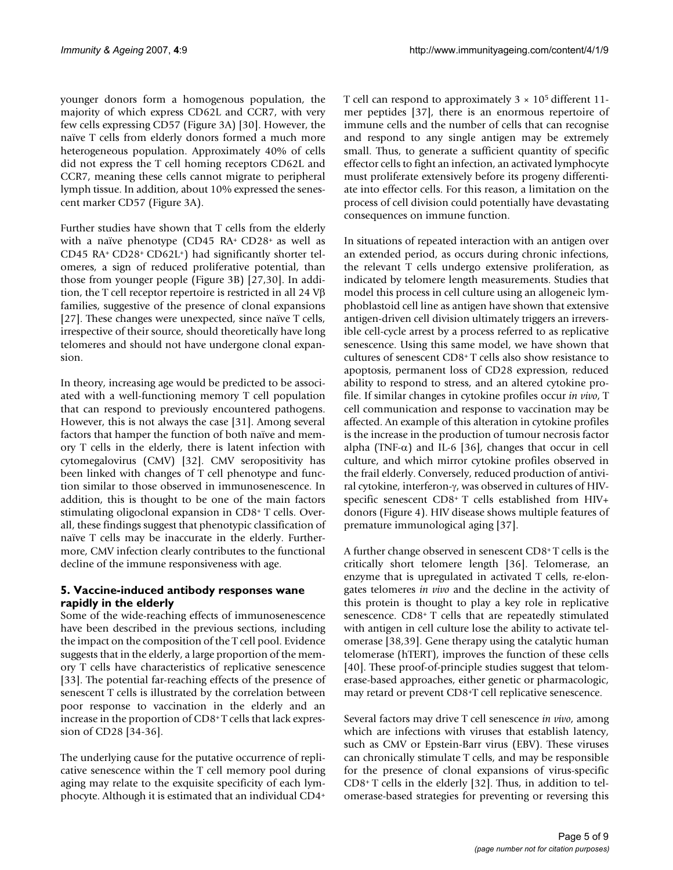younger donors form a homogenous population, the majority of which express CD62L and CCR7, with very few cells expressing CD57 (Figure 3A) [30]. However, the naïve T cells from elderly donors formed a much more heterogeneous population. Approximately 40% of cells did not express the T cell homing receptors CD62L and CCR7, meaning these cells cannot migrate to peripheral lymph tissue. In addition, about 10% expressed the senescent marker CD57 (Figure 3A).

Further studies have shown that T cells from the elderly with a naïve phenotype (CD45 RA+ CD28+ as well as CD45 RA+ CD28+ CD62L+) had significantly shorter telomeres, a sign of reduced proliferative potential, than those from younger people (Figure 3B) [27,30]. In addition, the T cell receptor repertoire is restricted in all 24 Vβ families, suggestive of the presence of clonal expansions [27]. These changes were unexpected, since naïve T cells, irrespective of their source, should theoretically have long telomeres and should not have undergone clonal expansion.

In theory, increasing age would be predicted to be associated with a well-functioning memory T cell population that can respond to previously encountered pathogens. However, this is not always the case [31]. Among several factors that hamper the function of both naïve and memory T cells in the elderly, there is latent infection with cytomegalovirus (CMV) [32]. CMV seropositivity has been linked with changes of T cell phenotype and function similar to those observed in immunosenescence. In addition, this is thought to be one of the main factors stimulating oligoclonal expansion in CD8+ T cells. Overall, these findings suggest that phenotypic classification of naïve T cells may be inaccurate in the elderly. Furthermore, CMV infection clearly contributes to the functional decline of the immune responsiveness with age.

#### **5. Vaccine-induced antibody responses wane rapidly in the elderly**

Some of the wide-reaching effects of immunosenescence have been described in the previous sections, including the impact on the composition of the T cell pool. Evidence suggests that in the elderly, a large proportion of the memory T cells have characteristics of replicative senescence [33]. The potential far-reaching effects of the presence of senescent T cells is illustrated by the correlation between poor response to vaccination in the elderly and an increase in the proportion of CD8+ T cells that lack expression of CD28 [34-36].

The underlying cause for the putative occurrence of replicative senescence within the T cell memory pool during aging may relate to the exquisite specificity of each lymphocyte. Although it is estimated that an individual CD4+

T cell can respond to approximately  $3 \times 10^5$  different 11mer peptides [37], there is an enormous repertoire of immune cells and the number of cells that can recognise and respond to any single antigen may be extremely small. Thus, to generate a sufficient quantity of specific effector cells to fight an infection, an activated lymphocyte must proliferate extensively before its progeny differentiate into effector cells. For this reason, a limitation on the process of cell division could potentially have devastating consequences on immune function.

In situations of repeated interaction with an antigen over an extended period, as occurs during chronic infections, the relevant T cells undergo extensive proliferation, as indicated by telomere length measurements. Studies that model this process in cell culture using an allogeneic lymphoblastoid cell line as antigen have shown that extensive antigen-driven cell division ultimately triggers an irreversible cell-cycle arrest by a process referred to as replicative senescence. Using this same model, we have shown that cultures of senescent CD8+ T cells also show resistance to apoptosis, permanent loss of CD28 expression, reduced ability to respond to stress, and an altered cytokine profile. If similar changes in cytokine profiles occur *in vivo*, T cell communication and response to vaccination may be affected. An example of this alteration in cytokine profiles is the increase in the production of tumour necrosis factor alpha (TNF- $\alpha$ ) and IL-6 [36], changes that occur in cell culture, and which mirror cytokine profiles observed in the frail elderly. Conversely, reduced production of antiviral cytokine, interferon-γ, was observed in cultures of HIVspecific senescent CD8+ T cells established from HIV+ donors (Figure 4). HIV disease shows multiple features of premature immunological aging [37].

A further change observed in senescent CD8+ T cells is the critically short telomere length [36]. Telomerase, an enzyme that is upregulated in activated T cells, re-elongates telomeres *in vivo* and the decline in the activity of this protein is thought to play a key role in replicative senescence. CD8+ T cells that are repeatedly stimulated with antigen in cell culture lose the ability to activate telomerase [38,39]. Gene therapy using the catalytic human telomerase (hTERT), improves the function of these cells [40]. These proof-of-principle studies suggest that telomerase-based approaches, either genetic or pharmacologic, may retard or prevent CD8+T cell replicative senescence.

Several factors may drive T cell senescence *in vivo*, among which are infections with viruses that establish latency, such as CMV or Epstein-Barr virus (EBV). These viruses can chronically stimulate T cells, and may be responsible for the presence of clonal expansions of virus-specific CD8+ T cells in the elderly [32]. Thus, in addition to telomerase-based strategies for preventing or reversing this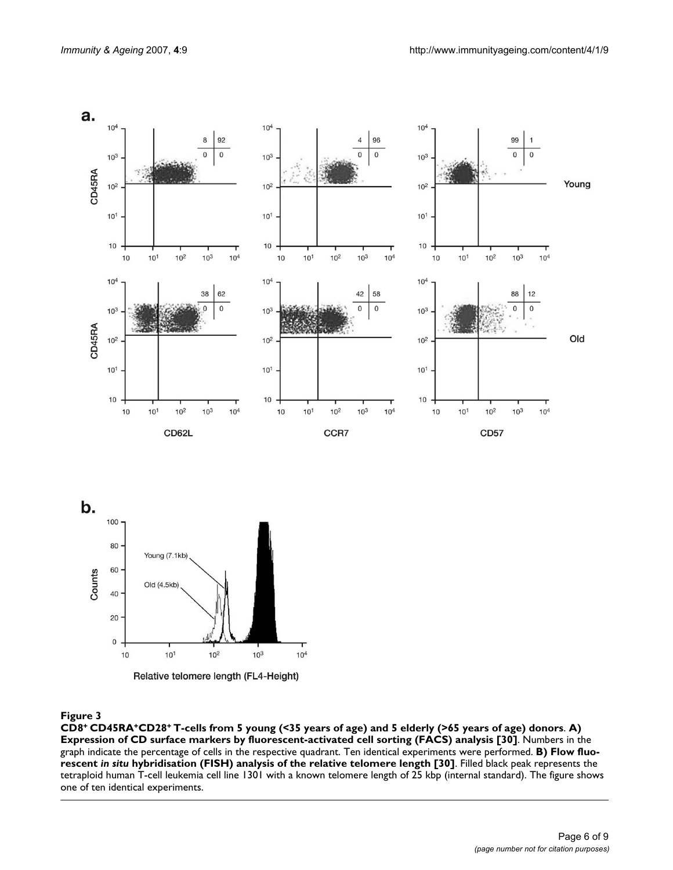

#### **Figure 3** CD8+ CD45RA+CD28+ T-cells from 5 young (<35 years of age) and 5 elderly (>65 years of age) donors

**CD8+ CD45RA+CD28+ T-cells from 5 young (<35 years of age) and 5 elderly (>65 years of age) donors**. **A) Expression of CD surface markers by fluorescent-activated cell sorting (FACS) analysis [30]**. Numbers in the graph indicate the percentage of cells in the respective quadrant. Ten identical experiments were performed. **B) Flow fluorescent** *in situ* **hybridisation (FISH) analysis of the relative telomere length [30]**. Filled black peak represents the tetraploid human T-cell leukemia cell line 1301 with a known telomere length of 25 kbp (internal standard). The figure shows one of ten identical experiments.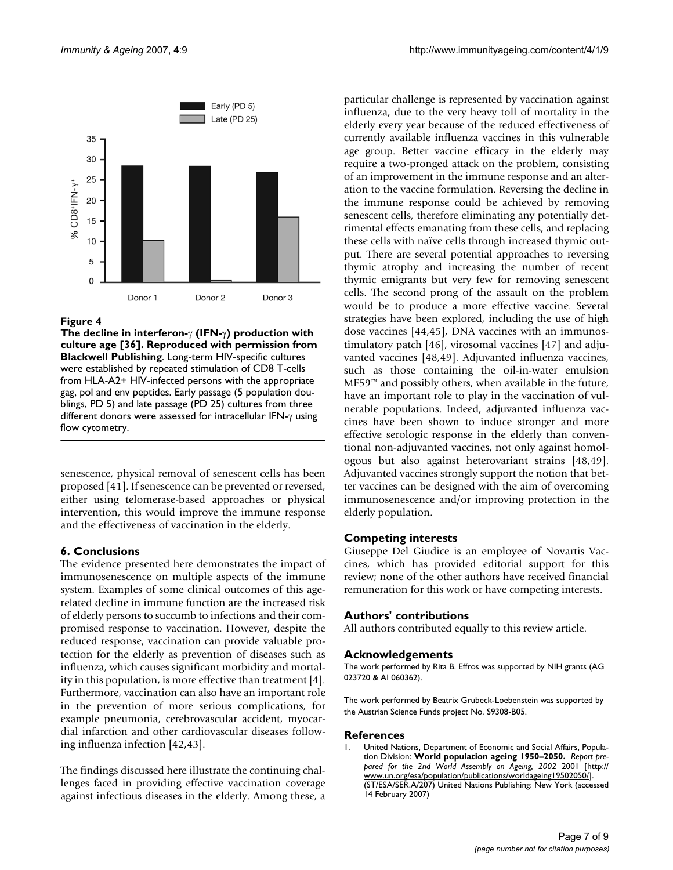

#### Figure 4

**The decline in interferon-**γ **(IFN-**γ**) production with culture age [36]. Reproduced with permission from Blackwell Publishing**. Long-term HIV-specific cultures were established by repeated stimulation of CD8 T-cells from HLA-A2+ HIV-infected persons with the appropriate gag, pol and env peptides. Early passage (5 population doublings, PD 5) and late passage (PD 25) cultures from three different donors were assessed for intracellular IFN-γ using flow cytometry.

senescence, physical removal of senescent cells has been proposed [41]. If senescence can be prevented or reversed, either using telomerase-based approaches or physical intervention, this would improve the immune response and the effectiveness of vaccination in the elderly.

#### **6. Conclusions**

The evidence presented here demonstrates the impact of immunosenescence on multiple aspects of the immune system. Examples of some clinical outcomes of this agerelated decline in immune function are the increased risk of elderly persons to succumb to infections and their compromised response to vaccination. However, despite the reduced response, vaccination can provide valuable protection for the elderly as prevention of diseases such as influenza, which causes significant morbidity and mortality in this population, is more effective than treatment [4]. Furthermore, vaccination can also have an important role in the prevention of more serious complications, for example pneumonia, cerebrovascular accident, myocardial infarction and other cardiovascular diseases following influenza infection [42,43].

The findings discussed here illustrate the continuing challenges faced in providing effective vaccination coverage against infectious diseases in the elderly. Among these, a particular challenge is represented by vaccination against influenza, due to the very heavy toll of mortality in the elderly every year because of the reduced effectiveness of currently available influenza vaccines in this vulnerable age group. Better vaccine efficacy in the elderly may require a two-pronged attack on the problem, consisting of an improvement in the immune response and an alteration to the vaccine formulation. Reversing the decline in the immune response could be achieved by removing senescent cells, therefore eliminating any potentially detrimental effects emanating from these cells, and replacing these cells with naïve cells through increased thymic output. There are several potential approaches to reversing thymic atrophy and increasing the number of recent thymic emigrants but very few for removing senescent cells. The second prong of the assault on the problem would be to produce a more effective vaccine. Several strategies have been explored, including the use of high dose vaccines [44,45], DNA vaccines with an immunostimulatory patch [46], virosomal vaccines [47] and adjuvanted vaccines [48,49]. Adjuvanted influenza vaccines, such as those containing the oil-in-water emulsion MF59™ and possibly others, when available in the future, have an important role to play in the vaccination of vulnerable populations. Indeed, adjuvanted influenza vaccines have been shown to induce stronger and more effective serologic response in the elderly than conventional non-adjuvanted vaccines, not only against homologous but also against heterovariant strains [48,49]. Adjuvanted vaccines strongly support the notion that better vaccines can be designed with the aim of overcoming immunosenescence and/or improving protection in the elderly population.

#### **Competing interests**

Giuseppe Del Giudice is an employee of Novartis Vaccines, which has provided editorial support for this review; none of the other authors have received financial remuneration for this work or have competing interests.

#### **Authors' contributions**

All authors contributed equally to this review article.

#### **Acknowledgements**

The work performed by Rita B. Effros was supported by NIH grants (AG 023720 & AI 060362).

The work performed by Beatrix Grubeck-Loebenstein was supported by the Austrian Science Funds project No. S9308-B05.

#### **References**

1. United Nations, Department of Economic and Social Affairs, Population Division: **World population ageing 1950–2050.** *Report prepared for the 2nd World Assembly on Ageing, 2002* 2001 [\[http://](http://www.un.org/esa/population/publications/worldageing19502050/) [www.un.org/esa/population/publications/worldageing19502050/](http://www.un.org/esa/population/publications/worldageing19502050/)]. (ST/ESA/SER.A/207) United Nations Publishing: New York (accessed 14 February 2007)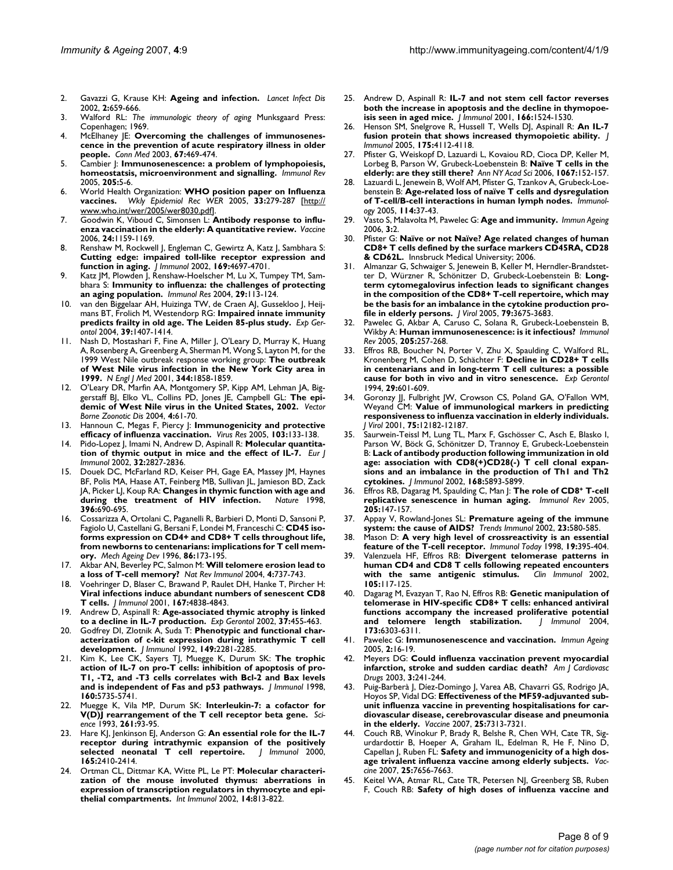- 2. Gavazzi G, Krause KH: **[Ageing and infection.](http://www.ncbi.nlm.nih.gov/entrez/query.fcgi?cmd=Retrieve&db=PubMed&dopt=Abstract&list_uids=12409046)** *Lancet Infect Dis* 2002, **2:**659-666.
- 3. Walford RL: *The immunologic theory of aging* Munksgaard Press: Copenhagen; 1969.
- 4. McElhaney JE: **[Overcoming the challenges of immunosenes](http://www.ncbi.nlm.nih.gov/entrez/query.fcgi?cmd=Retrieve&db=PubMed&dopt=Abstract&list_uids=14587126)[cence in the prevention of acute respiratory illness in older](http://www.ncbi.nlm.nih.gov/entrez/query.fcgi?cmd=Retrieve&db=PubMed&dopt=Abstract&list_uids=14587126) [people.](http://www.ncbi.nlm.nih.gov/entrez/query.fcgi?cmd=Retrieve&db=PubMed&dopt=Abstract&list_uids=14587126)** *Conn Med* 2003, **67:**469-474.
- 5. Cambier J: **[Immunosenescence: a problem of lymphopoiesis,](http://www.ncbi.nlm.nih.gov/entrez/query.fcgi?cmd=Retrieve&db=PubMed&dopt=Abstract&list_uids=15882340) [homeostatsis, microenvironment and signalling.](http://www.ncbi.nlm.nih.gov/entrez/query.fcgi?cmd=Retrieve&db=PubMed&dopt=Abstract&list_uids=15882340)** *Immunol Rev* 2005, **205:**5-6.
- 6. World Health Organization: **WHO position paper on Influenza vaccines.** *Wkly Epidemiol Rec WER* 2005, **33:**279-287 [[http://](http://www.who.int/wer/2005/wer8030.pdf) [www.who.int/wer/2005/wer8030.pdf](http://www.who.int/wer/2005/wer8030.pdf)].
- 7. Goodwin K, Viboud C, Simonsen L: **[Antibody response to influ](http://www.ncbi.nlm.nih.gov/entrez/query.fcgi?cmd=Retrieve&db=PubMed&dopt=Abstract&list_uids=16213065)[enza vaccination in the elderly: A quantitative review.](http://www.ncbi.nlm.nih.gov/entrez/query.fcgi?cmd=Retrieve&db=PubMed&dopt=Abstract&list_uids=16213065)** *Vaccine* 2006, **24:**1159-1169.
- 8. Renshaw M, Rockwell J, Engleman C, Gewirtz A, Katz J, Sambhara S: **[Cutting edge: impaired toll-like receptor expression and](http://www.ncbi.nlm.nih.gov/entrez/query.fcgi?cmd=Retrieve&db=PubMed&dopt=Abstract&list_uids=12391175) [function in aging.](http://www.ncbi.nlm.nih.gov/entrez/query.fcgi?cmd=Retrieve&db=PubMed&dopt=Abstract&list_uids=12391175)** *J Immunol* 2002, **169:**4697-4701.
- 9. Katz JM, Plowden J, Renshaw-Hoelscher M, Lu X, Tumpey TM, Sambhara S: **[Immunity to influenza: the challenges of protecting](http://www.ncbi.nlm.nih.gov/entrez/query.fcgi?cmd=Retrieve&db=PubMed&dopt=Abstract&list_uids=15181275) [an aging population.](http://www.ncbi.nlm.nih.gov/entrez/query.fcgi?cmd=Retrieve&db=PubMed&dopt=Abstract&list_uids=15181275)** *Immunol Res* 2004, **29:**113-124.
- 10. van den Biggelaar AH, Huizinga TW, de Craen AJ, Gussekloo J, Heijmans BT, Frolich M, Westendorp RG: **[Impaired innate immunity](http://www.ncbi.nlm.nih.gov/entrez/query.fcgi?cmd=Retrieve&db=PubMed&dopt=Abstract&list_uids=15489064) [predicts frailty in old age. The Leiden 85-plus study.](http://www.ncbi.nlm.nih.gov/entrez/query.fcgi?cmd=Retrieve&db=PubMed&dopt=Abstract&list_uids=15489064)** *Exp Gerontol* 2004, **39:**1407-1414.
- 11. Nash D, Mostashari F, Fine A, Miller J, O'Leary D, Murray K, Huang A, Rosenberg A, Greenberg A, Sherman M, Wong S, Layton M, for the 1999 West Nile outbreak response working group: **[The outbreak](http://www.ncbi.nlm.nih.gov/entrez/query.fcgi?cmd=Retrieve&db=PubMed&dopt=Abstract&list_uids=11407349) [of West Nile virus infection in the New York City area in](http://www.ncbi.nlm.nih.gov/entrez/query.fcgi?cmd=Retrieve&db=PubMed&dopt=Abstract&list_uids=11407349) [1999.](http://www.ncbi.nlm.nih.gov/entrez/query.fcgi?cmd=Retrieve&db=PubMed&dopt=Abstract&list_uids=11407349)** *N Engl J Med* 2001, **344:**1858-1859.
- 12. O'Leary DR, Marfin AA, Montgomery SP, Kipp AM, Lehman JA, Biggerstaff BJ, Elko VL, Collins PD, Jones JE, Campbell GL: **[The epi](http://www.ncbi.nlm.nih.gov/entrez/query.fcgi?cmd=Retrieve&db=PubMed&dopt=Abstract&list_uids=15018774)[demic of West Nile virus in the United States, 2002.](http://www.ncbi.nlm.nih.gov/entrez/query.fcgi?cmd=Retrieve&db=PubMed&dopt=Abstract&list_uids=15018774)** *Vector Borne Zoonotic Dis* 2004, **4:**61-70.
- 13. Hannoun C, Megas F, Piercy J: **Immunogenicity and protective efficacy of influenza vaccination.** *Virus Res* 2005, **103:**133-138.
- 14. Pido-Lopez J, Imami N, Andrew D, Aspinall R: **[Molecular quantita](http://www.ncbi.nlm.nih.gov/entrez/query.fcgi?cmd=Retrieve&db=PubMed&dopt=Abstract&list_uids=12355435)[tion of thymic output in mice and the effect of IL-7.](http://www.ncbi.nlm.nih.gov/entrez/query.fcgi?cmd=Retrieve&db=PubMed&dopt=Abstract&list_uids=12355435)** *Eur J Immunol* 2002, **32:**2827-2836.
- 15. Douek DC, McFarland RD, Keiser PH, Gage EA, Massey JM, Haynes BF, Polis MA, Haase AT, Feinberg MB, Sullivan JL, Jamieson BD, Zack JA, Picker LJ, Koup RA: **[Changes in thymic function with age and](http://www.ncbi.nlm.nih.gov/entrez/query.fcgi?cmd=Retrieve&db=PubMed&dopt=Abstract&list_uids=9872319) [during the treatment of HIV infection.](http://www.ncbi.nlm.nih.gov/entrez/query.fcgi?cmd=Retrieve&db=PubMed&dopt=Abstract&list_uids=9872319)** *Nature* 1998, **396:**690-695.
- 16. Cossarizza A, Ortolani C, Paganelli R, Barbieri D, Monti D, Sansoni P, Fagiolo U, Castellani G, Bersani F, Londei M, Franceschi C: **[CD45 iso](http://www.ncbi.nlm.nih.gov/entrez/query.fcgi?cmd=Retrieve&db=PubMed&dopt=Abstract&list_uids=8733112)forms expression on CD4+ and CD8+ T cells throughout life, [from newborns to centenarians: implications for T cell mem](http://www.ncbi.nlm.nih.gov/entrez/query.fcgi?cmd=Retrieve&db=PubMed&dopt=Abstract&list_uids=8733112)[ory.](http://www.ncbi.nlm.nih.gov/entrez/query.fcgi?cmd=Retrieve&db=PubMed&dopt=Abstract&list_uids=8733112)** *Mech Ageing Dev* 1996, **86:**173-195.
- 17. Akbar AN, Beverley PC, Salmon M: **[Will telomere erosion lead to](http://www.ncbi.nlm.nih.gov/entrez/query.fcgi?cmd=Retrieve&db=PubMed&dopt=Abstract&list_uids=15343372) [a loss of T-cell memory?](http://www.ncbi.nlm.nih.gov/entrez/query.fcgi?cmd=Retrieve&db=PubMed&dopt=Abstract&list_uids=15343372)** *Nat Rev Immunol* 2004, **4:**737-743.
- 18. Voehringer D, Blaser C, Brawand P, Raulet DH, Hanke T, Pircher H: **[Viral infections induce abundant numbers of senescent CD8](http://www.ncbi.nlm.nih.gov/entrez/query.fcgi?cmd=Retrieve&db=PubMed&dopt=Abstract&list_uids=11673487) [T cells.](http://www.ncbi.nlm.nih.gov/entrez/query.fcgi?cmd=Retrieve&db=PubMed&dopt=Abstract&list_uids=11673487)** *J Immunol* 2001, **167:**4838-4843.
- 19. Andrew D, Aspinall R: **[Age-associated thymic atrophy is linked](http://www.ncbi.nlm.nih.gov/entrez/query.fcgi?cmd=Retrieve&db=PubMed&dopt=Abstract&list_uids=11772533) [to a decline in IL-7 production.](http://www.ncbi.nlm.nih.gov/entrez/query.fcgi?cmd=Retrieve&db=PubMed&dopt=Abstract&list_uids=11772533)** *Exp Gerontol* 2002, **37:**455-463.
- 20. Godfrey DI, Zlotnik A, Suda T: **[Phenotypic and functional char](http://www.ncbi.nlm.nih.gov/entrez/query.fcgi?cmd=Retrieve&db=PubMed&dopt=Abstract&list_uids=1382094)[acterization of c-kit expression during intrathymic T cell](http://www.ncbi.nlm.nih.gov/entrez/query.fcgi?cmd=Retrieve&db=PubMed&dopt=Abstract&list_uids=1382094) [development.](http://www.ncbi.nlm.nih.gov/entrez/query.fcgi?cmd=Retrieve&db=PubMed&dopt=Abstract&list_uids=1382094)** *J Immunol* 1992, **149:**2281-2285.
- 21. Kim K, Lee CK, Sayers TJ, Muegge K, Durum SK: **[The trophic](http://www.ncbi.nlm.nih.gov/entrez/query.fcgi?cmd=Retrieve&db=PubMed&dopt=Abstract&list_uids=9637482) action of IL-7 on pro-T cells: inhibition of apoptosis of pro-[T1, -T2, and -T3 cells correlates with Bcl-2 and Bax levels](http://www.ncbi.nlm.nih.gov/entrez/query.fcgi?cmd=Retrieve&db=PubMed&dopt=Abstract&list_uids=9637482) [and is independent of Fas and p53 pathways.](http://www.ncbi.nlm.nih.gov/entrez/query.fcgi?cmd=Retrieve&db=PubMed&dopt=Abstract&list_uids=9637482)** *J Immunol* 1998, **160:**5735-5741.
- 22. Muegge K, Vila MP, Durum SK: **[Interleukin-7: a cofactor for](http://www.ncbi.nlm.nih.gov/entrez/query.fcgi?cmd=Retrieve&db=PubMed&dopt=Abstract&list_uids=7686307) [V\(D\)J rearrangement of the T cell receptor beta gene.](http://www.ncbi.nlm.nih.gov/entrez/query.fcgi?cmd=Retrieve&db=PubMed&dopt=Abstract&list_uids=7686307)** *Science* 1993, **261:**93-95.
- 23. Hare KJ, Jenkinson EJ, Anderson G: **[An essential role for the IL-7](http://www.ncbi.nlm.nih.gov/entrez/query.fcgi?cmd=Retrieve&db=PubMed&dopt=Abstract&list_uids=10946265) [receptor during intrathymic expansion of the positively](http://www.ncbi.nlm.nih.gov/entrez/query.fcgi?cmd=Retrieve&db=PubMed&dopt=Abstract&list_uids=10946265) [selected neonatal T cell repertoire.](http://www.ncbi.nlm.nih.gov/entrez/query.fcgi?cmd=Retrieve&db=PubMed&dopt=Abstract&list_uids=10946265)** *J Immunol* 2000, **165:**2410-2414.
- 24. Ortman CL, Dittmar KA, Witte PL, Le PT: **[Molecular characteri](http://www.ncbi.nlm.nih.gov/entrez/query.fcgi?cmd=Retrieve&db=PubMed&dopt=Abstract&list_uids=12096041)zation of the mouse involuted thymus: aberrations in [expression of transcription regulators in thymocyte and epi](http://www.ncbi.nlm.nih.gov/entrez/query.fcgi?cmd=Retrieve&db=PubMed&dopt=Abstract&list_uids=12096041)[thelial compartments.](http://www.ncbi.nlm.nih.gov/entrez/query.fcgi?cmd=Retrieve&db=PubMed&dopt=Abstract&list_uids=12096041)** *Int Immunol* 2002, **14:**813-822.
- 25. Andrew D, Aspinall R: **[IL-7 and not stem cell factor reverses](http://www.ncbi.nlm.nih.gov/entrez/query.fcgi?cmd=Retrieve&db=PubMed&dopt=Abstract&list_uids=11160192) [both the increase in apoptosis and the decline in thymopoe](http://www.ncbi.nlm.nih.gov/entrez/query.fcgi?cmd=Retrieve&db=PubMed&dopt=Abstract&list_uids=11160192)[isis seen in aged mice.](http://www.ncbi.nlm.nih.gov/entrez/query.fcgi?cmd=Retrieve&db=PubMed&dopt=Abstract&list_uids=11160192)** *J Immunol* 2001, **166:**1524-1530.
- 26. Henson SM, Snelgrove R, Hussell T, Wells DJ, Aspinall R: **[An IL-7](http://www.ncbi.nlm.nih.gov/entrez/query.fcgi?cmd=Retrieve&db=PubMed&dopt=Abstract&list_uids=16148161) [fusion protein that shows increased thymopoietic ability.](http://www.ncbi.nlm.nih.gov/entrez/query.fcgi?cmd=Retrieve&db=PubMed&dopt=Abstract&list_uids=16148161)** *J Immunol* 2005, **175:**4112-4118.
- 27. Pfister G, Weiskopf D, Lazuardi L, Kovaiou RD, Cioca DP, Keller M, Lorbeg B, Parson W, Grubeck-Loebenstein B: **[Naïve T cells in the](http://www.ncbi.nlm.nih.gov/entrez/query.fcgi?cmd=Retrieve&db=PubMed&dopt=Abstract&list_uids=16803980) [elderly: are they still there?](http://www.ncbi.nlm.nih.gov/entrez/query.fcgi?cmd=Retrieve&db=PubMed&dopt=Abstract&list_uids=16803980)** *Ann NY Acad Sci* 2006, **1067:**152-157.
- 28. Lazuardi L, Jenewein B, Wolf AM, Pfister G, Tzankov A, Grubeck-Loebenstein B: **[Age-related loss of naïve T cells and dysregulation](http://www.ncbi.nlm.nih.gov/entrez/query.fcgi?cmd=Retrieve&db=PubMed&dopt=Abstract&list_uids=15606793) [of T-cell/B-cell interactions in human lymph nodes.](http://www.ncbi.nlm.nih.gov/entrez/query.fcgi?cmd=Retrieve&db=PubMed&dopt=Abstract&list_uids=15606793)** *Immunology* 2005, **114:**37-43.
- 29. Vasto S, Malavolta M, Pawelec G: **[Age and immunity.](http://www.ncbi.nlm.nih.gov/entrez/query.fcgi?cmd=Retrieve&db=PubMed&dopt=Abstract&list_uids=16504129)** *Immun Ageing* 2006, **3:**2.
- 30. Pfister G: **Naïve or not Naïve? Age related changes of human CD8+ T cells defined by the surface markers CD45RA, CD28 & CD62L.** Innsbruck Medical University; 2006.
- 31. Almanzar G, Schwaiger S, Jenewein B, Keller M, Herndler-Brandstetter D, Würzner R, Schönitzer D, Grubeck-Loebenstein B: **[Long](http://www.ncbi.nlm.nih.gov/entrez/query.fcgi?cmd=Retrieve&db=PubMed&dopt=Abstract&list_uids=15731261)term cytomegalovirus infection leads to significant changes [in the composition of the CD8+ T-cell repertoire, which may](http://www.ncbi.nlm.nih.gov/entrez/query.fcgi?cmd=Retrieve&db=PubMed&dopt=Abstract&list_uids=15731261) be the basis for an imbalance in the cytokine production pro[file in elderly persons.](http://www.ncbi.nlm.nih.gov/entrez/query.fcgi?cmd=Retrieve&db=PubMed&dopt=Abstract&list_uids=15731261)** *J Virol* 2005, **79:**3675-3683.
- 32. Pawelec G, Akbar A, Caruso C, Solana R, Grubeck-Loebenstein B, Wikby A: **[Human immunosenescence: is it infectious?](http://www.ncbi.nlm.nih.gov/entrez/query.fcgi?cmd=Retrieve&db=PubMed&dopt=Abstract&list_uids=15882359)** *Immunol Rev* 2005, **205:**257-268.
- 33. Effros RB, Boucher N, Porter V, Zhu X, Spaulding C, Walford RL, Kronenberg M, Cohen D, Schächter F: **[Decline in CD28+ T cells](http://www.ncbi.nlm.nih.gov/entrez/query.fcgi?cmd=Retrieve&db=PubMed&dopt=Abstract&list_uids=9435913) [in centenarians and in long-term T cell cultures: a possible](http://www.ncbi.nlm.nih.gov/entrez/query.fcgi?cmd=Retrieve&db=PubMed&dopt=Abstract&list_uids=9435913) [cause for both in vivo and in vitro senescence.](http://www.ncbi.nlm.nih.gov/entrez/query.fcgi?cmd=Retrieve&db=PubMed&dopt=Abstract&list_uids=9435913)** *Exp Gerontol* 1994, **29:**601-609.
- 34. Goronzy JJ, Fulbright JW, Crowson CS, Poland GA, O'Fallon WM, Weyand CM: **[Value of immunological markers in predicting](http://www.ncbi.nlm.nih.gov/entrez/query.fcgi?cmd=Retrieve&db=PubMed&dopt=Abstract&list_uids=11711609) [responsiveness to influenza vaccination in elderly individuals.](http://www.ncbi.nlm.nih.gov/entrez/query.fcgi?cmd=Retrieve&db=PubMed&dopt=Abstract&list_uids=11711609)** *J Virol* 2001, **75:**12182-12187.
- 35. Saurwein-Teissl M, Lung TL, Marx F, Gschösser C, Asch E, Blasko I, Parson W, Böck G, Schönitzer D, Trannoy E, Grubeck-Loebenstein B: **[Lack of antibody production following immunization in old](http://www.ncbi.nlm.nih.gov/entrez/query.fcgi?cmd=Retrieve&db=PubMed&dopt=Abstract&list_uids=12023394) age: association with CD8(+)CD28(-) T cell clonal expan[sions and an imbalance in the production of Th1 and Th2](http://www.ncbi.nlm.nih.gov/entrez/query.fcgi?cmd=Retrieve&db=PubMed&dopt=Abstract&list_uids=12023394) [cytokines.](http://www.ncbi.nlm.nih.gov/entrez/query.fcgi?cmd=Retrieve&db=PubMed&dopt=Abstract&list_uids=12023394)** *J Immunol* 2002, **168:**5893-5899.
- 36. Effros RB, Dagarag M, Spaulding C, Man J: **The role of CD8+ [T-cell](http://www.ncbi.nlm.nih.gov/entrez/query.fcgi?cmd=Retrieve&db=PubMed&dopt=Abstract&list_uids=15882351) [replicative senescence in human aging.](http://www.ncbi.nlm.nih.gov/entrez/query.fcgi?cmd=Retrieve&db=PubMed&dopt=Abstract&list_uids=15882351)** *Immunol Rev* 2005, **205:**147-157.
- 37. Appay V, Rowland-Jones SL: **[Premature ageing of the immune](http://www.ncbi.nlm.nih.gov/entrez/query.fcgi?cmd=Retrieve&db=PubMed&dopt=Abstract&list_uids=12464569) [system: the cause of AIDS?](http://www.ncbi.nlm.nih.gov/entrez/query.fcgi?cmd=Retrieve&db=PubMed&dopt=Abstract&list_uids=12464569)** *Trends Immunol* 2002, **23:**580-585.
- 38. Mason D: **[A very high level of crossreactivity is an essential](http://www.ncbi.nlm.nih.gov/entrez/query.fcgi?cmd=Retrieve&db=PubMed&dopt=Abstract&list_uids=9745202) [feature of the T-cell receptor.](http://www.ncbi.nlm.nih.gov/entrez/query.fcgi?cmd=Retrieve&db=PubMed&dopt=Abstract&list_uids=9745202)** *Immunol Today* 1998, **19:**395-404.
- 39. Valenzuela HF, Effros RB: **[Divergent telomerase patterns in](http://www.ncbi.nlm.nih.gov/entrez/query.fcgi?cmd=Retrieve&db=PubMed&dopt=Abstract&list_uids=12482386) [human CD4 and CD8 T cells following repeated encounters](http://www.ncbi.nlm.nih.gov/entrez/query.fcgi?cmd=Retrieve&db=PubMed&dopt=Abstract&list_uids=12482386) [with the same antigenic stimulus.](http://www.ncbi.nlm.nih.gov/entrez/query.fcgi?cmd=Retrieve&db=PubMed&dopt=Abstract&list_uids=12482386)** *Clin Immunol* 2002, **105:**117-125.
- 40. Dagarag M, Evazyan T, Rao N, Effros RB: **[Genetic manipulation of](http://www.ncbi.nlm.nih.gov/entrez/query.fcgi?cmd=Retrieve&db=PubMed&dopt=Abstract&list_uids=15528369) telomerase in HIV-specific CD8+ T cells: enhanced antiviral [functions accompany the increased proliferative potential](http://www.ncbi.nlm.nih.gov/entrez/query.fcgi?cmd=Retrieve&db=PubMed&dopt=Abstract&list_uids=15528369) [and telomere length stabilization.](http://www.ncbi.nlm.nih.gov/entrez/query.fcgi?cmd=Retrieve&db=PubMed&dopt=Abstract&list_uids=15528369)** *J Immunol* 2004, **173:**6303-6311.
- 41. Pawelec G: **[Immunosenescence and vaccination.](http://www.ncbi.nlm.nih.gov/entrez/query.fcgi?cmd=Retrieve&db=PubMed&dopt=Abstract&list_uids=16307681)** *Immun Ageing* 2005, **2:**16-19.
- 42. Meyers DG: **[Could influenza vaccination prevent myocardial](http://www.ncbi.nlm.nih.gov/entrez/query.fcgi?cmd=Retrieve&db=PubMed&dopt=Abstract&list_uids=14728076) [infarction, stroke and sudden cardiac death?](http://www.ncbi.nlm.nih.gov/entrez/query.fcgi?cmd=Retrieve&db=PubMed&dopt=Abstract&list_uids=14728076)** *Am J Cardiovasc Drugs* 2003, **3:**241-244.
- 43. Puig-Barberà J, Díez-Domingo J, Varea AB, Chavarri GS, Rodrigo JA, Hoyos SP, Vidal DG: **[Effectiveness of the MF59-adjuvanted sub](http://www.ncbi.nlm.nih.gov/entrez/query.fcgi?cmd=Retrieve&db=PubMed&dopt=Abstract&list_uids=17889411)unit influenza vaccine in preventing hospitalisations for car[diovascular disease, cerebrovascular disease and pneumonia](http://www.ncbi.nlm.nih.gov/entrez/query.fcgi?cmd=Retrieve&db=PubMed&dopt=Abstract&list_uids=17889411) [in the elderly.](http://www.ncbi.nlm.nih.gov/entrez/query.fcgi?cmd=Retrieve&db=PubMed&dopt=Abstract&list_uids=17889411)** *Vaccine* 2007, **25:**7313-7321.
- 44. Couch RB, Winokur P, Brady R, Belshe R, Chen WH, Cate TR, Sigurdardottir B, Hoeper A, Graham IL, Edelman R, He F, Nino D, Capellan J, Ruben FL: **[Safety and immunogenicity of a high dos](http://www.ncbi.nlm.nih.gov/entrez/query.fcgi?cmd=Retrieve&db=PubMed&dopt=Abstract&list_uids=17913310)[age trivalent influenza vaccine among elderly subjects.](http://www.ncbi.nlm.nih.gov/entrez/query.fcgi?cmd=Retrieve&db=PubMed&dopt=Abstract&list_uids=17913310)** *Vaccine* 2007, **25:**7656-7663.
- Keitel WA, Atmar RL, Cate TR, Petersen NJ, Greenberg SB, Ruben F, Couch RB: **[Safety of high doses of influenza vaccine and](http://www.ncbi.nlm.nih.gov/entrez/query.fcgi?cmd=Retrieve&db=PubMed&dopt=Abstract&list_uids=16717175)**